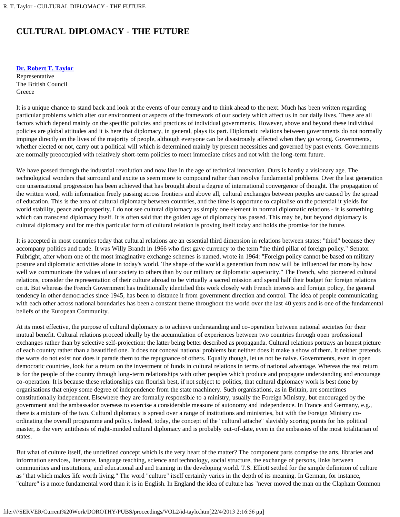## **CULTURAL DIPLOMACY - THE FUTURE**

**[Dr. Robert T. Taylor](#page-2-0)**

Representative The British Council **Greece** 

It is a unique chance to stand back and look at the events of our century and to think ahead to the next. Much has been written regarding particular problems which alter our environment or aspects of the framework of our society which affect us in our daily lives. These are all factors which depend mainly on the specific policies and practices of individual governments. However, above and beyond these individual policies are global attitudes and it is here that diplomacy, in general, plays its part. Diplomatic relations between governments do not normally impinge directly on the lives of the majority of people, although everyone can be disastrously affected when they go wrong. Governments, whether elected or not, carry out a political will which is determined mainly by present necessities and governed by past events. Governments are normally preoccupied with relatively short-term policies to meet immediate crises and not with the long-term future.

We have passed through the industrial revolution and now live in the age of technical innovation. Ours is hardly a visionary age. The technological wonders that surround and excite us seem more to compound rather than resolve fundamental problems. Over the last generation one unsensational progression has been achieved that has brought about a degree of international convergence of thought. The propagation of the written word, with information freely passing across frontiers and above all, cultural exchanges between peoples are caused by the spread of education. This is the area of cultural diplomacy between countries, and the time is opportune to capitalise on the potential it yields for world stability, peace and prosperity. I do not see cultural diplomacy as simply one element in normal diplomatic relations - it is something which can transcend diplomacy itself. It is often said that the golden age of diplomacy has passed. This may be, but beyond diplomacy is cultural diplomacy and for me this particular form of cultural relation is proving itself today and holds the promise for the future.

It is accepted in most countries today that cultural relations are an essential third dimension in relations between states: "third" because they accompany politics and trade. It was Willy Brandt in 1966 who first gave currency to the term "the third pillar of foreign policy." Senator Fulbright, after whom one of the most imaginative exchange schemes is named, wrote in 1964: "Foreign policy cannot be based on military posture and diplomatic activities alone in today's world. The shape of the world a generation from now will be influenced far more by how well we communicate the values of our society to others than by our military or diplomatic superiority." The French, who pioneered cultural relations, consider the representation of their culture abroad to be virtually a sacred mission and spend half their budget for foreign relations on it. But whereas the French Government has traditionally identified this work closely with French interests and foreign policy, the general tendency in other democracies since 1945, has been to distance it from government direction and control. The idea of people communicating with each other across national boundaries has been a constant theme throughout the world over the last 40 years and is one of the fundamental beliefs of the European Community.

At its most effective, the purpose of cultural diplomacy is to achieve understanding and co-operation between national societies for their mutual benefit. Cultural relations proceed ideally by the accumulation of experiences between two countries through open professional exchanges rather than by selective self-projection: the latter being better described as propaganda. Cultural relations portrays an honest picture of each country rather than a beautified one. It does not conceal national problems but neither does it make a show of them. It neither pretends the warts do not exist nor does it parade them to the repugnance of others. Equally though, let us not be naive. Governments, even in open democratic countries, look for a return on the investment of funds in cultural relations in terms of national advantage. Whereas the real return is for the people of the country through long-term relationships with other peoples which produce and propagate understanding and encourage co-operation. It is because these relationships can flourish best, if not subject to politics, that cultural diplomacy work is best done by organisations that enjoy some degree of independence from the state machinery. Such organisations, as in Britain, are sometimes constitutionally independent. Elsewhere they are formally responsible to a ministry, usually the Foreign Ministry, but encouraged by the government and the ambassador overseas to exercise a considerable measure of autonomy and independence. In France and Germany, e.g., there is a mixture of the two. Cultural diplomacy is spread over a range of institutions and ministries, but with the Foreign Ministry coordinating the overall programme and policy. Indeed, today, the concept of the "cultural attache" slavishly scoring points for his political master, is the very antithesis of right-minded cultural diplomacy and is probably out-of-date, even in the embassies of the most totalitarian of states.

But what of culture itself, the undefined concept which is the very heart of the matter? The component parts comprise the arts, libraries and information services, literature, language teaching, science and technology, social structure, the exchange of persons, links between communities and institutions, and educational aid and training in the developing world. T.S. Elliott settled for the simple definition of culture as "that which makes life worth living." The word "culture" itself certainly varies in the depth of its meaning. In German, for instance, "culture" is a more fundamental word than it is in English. In England the idea of culture has "never moved the man on the Clapham Common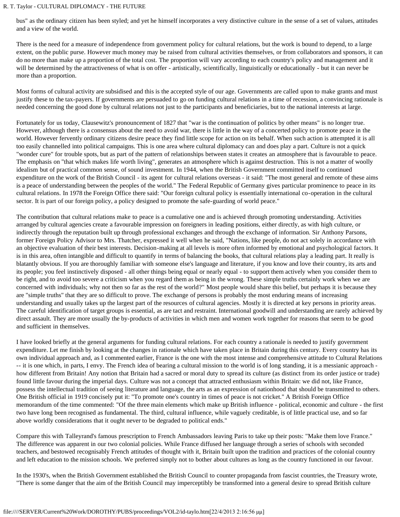bus" as the ordinary citizen has been styled; and yet he himself incorporates a very distinctive culture in the sense of a set of values, attitudes and a view of the world.

There is the need for a measure of independence from government policy for cultural relations, but the work is bound to depend, to a large extent, on the public purse. However much money may be raised from cultural activities themselves, or from collaborators and sponsors, it can do no more than make up a proportion of the total cost. The proportion will vary according to each country's policy and management and it will be determined by the attractiveness of what is on offer - artistically, scientifically, linguistically or educationally - but it can never be more than a proportion.

Most forms of cultural activity are subsidised and this is the accepted style of our age. Governments are called upon to make grants and must justify these to the tax-payers. If governments are persuaded to go on funding cultural relations in a time of recession, a convincing rationale is needed concerning the good done by cultural relations not just to the participants and beneficiaries, but to the national interests at large.

Fortunately for us today, Clausewitz's pronouncement of 1827 that "war is the continuation of politics by other means" is no longer true. However, although there is a consensus about the need to avoid war, there is little in the way of a concerted policy to promote peace in the world. However fervently ordinary citizens desire peace they find little scope for action on its behalf. When such action is attempted it is all too easily channelled into political campaigns. This is one area where cultural diplomacy can and does play a part. Culture is not a quick "wonder cure" for trouble spots, but as part of the pattern of relationships between states it creates an atmosphere that is favourable to peace. The emphasis on "that which makes life worth living", generates an atmosphere which is against destruction. This is not a matter of woolly idealism but of practical common sense, of sound investment. In 1944, when the British Government committed itself to continued expenditure on the work of the British Council - its agent for cultural relations overseas - it said: "The most general and remote of these aims is a peace of understanding between the peoples of the world." The Federal Republic of Germany gives particular prominence to peace in its cultural relations. In 1978 the Foreign Office there said: "Our foreign cultural policy is essentially international co-operation in the cultural sector. It is part of our foreign policy, a policy designed to promote the safe-guarding of world peace."

The contribution that cultural relations make to peace is a cumulative one and is achieved through promoting understanding. Activities arranged by cultural agencies create a favourable impression on foreigners in leading positions, either directly, as with high culture, or indirectly through the reputation built up through professional exchanges and through the exchange of information. Sir Anthony Parsons, former Foreign Policy Advisor to Mrs. Thatcher, expressed it well when he said, "Nations, like people, do not act solely in accordance with an objective evaluation of their best interests. Decision-making at all levels is more often informed by emotional and psychological factors. It is in this area, often intangible and difficult to quantify in terms of balancing the books, that cultural relations play a leading part. It really is blatantly obvious. If you are thoroughly familiar with someone else's language and literature, if you know and love their country, its arts and its people; you feel instinctively disposed - all other things being equal or nearly equal - to support them actively when you consider them to be right, and to avoid too severe a criticism when you regard them as being in the wrong. These simple truths certainly work when we are concerned with individuals; why not then so far as the rest of the world?" Most people would share this belief, but perhaps it is because they are "simple truths" that they are so difficult to prove. The exchange of persons is probably the most enduring means of increasing understanding and usually takes up the largest part of the resources of cultural agencies. Mostly it is directed at key persons in priority areas. The careful identification of target groups is essential, as are tact and restraint. International goodwill and understanding are rarely achieved by direct assault. They are more usually the by-products of activities in which men and women work together for reasons that seem to be good and sufficient in themselves.

I have looked briefly at the general arguments for funding cultural relations. For each country a rationale is needed to justify government expenditure. Let me finish by looking at the changes in rationale which have taken place in Britain during this century. Every country has its own individual approach and, as I commented earlier, France is the one with the most intense and comprehensive attitude to Cultural Relations -- it is one which, in parts, I envy. The French idea of bearing a cultural mission to the world is of long standing, it is a messianic approach how different from Britain! Any notion that Britain had a sacred or moral duty to spread its culture (as distinct from its order justice or trade) found little favour during the imperial days. Culture was not a concept that attracted enthusiasm within Britain: we did not, like France, possess the intellectual tradition of seeing literature and language, the arts as an expression of nationhood that should be transmitted to others. One British official in 1919 concisely put it: "To promote one's country in times of peace is not cricket." A British Foreign Office memorandum of the time commented: "Of the three main elements which make up British influence - political, economic and culture - the first two have long been recognised as fundamental. The third, cultural influence, while vaguely creditable, is of little practical use, and so far above worldly considerations that it ought never to be degraded to political ends."

Compare this with Talleyrand's famous prescription to French Ambassadors leaving Paris to take up their posts: "Make them love France." The difference was apparent in our two colonial policies. While France diffused her language through a series of schools with seconded teachers, and bestowed recognisably French attitudes of thought with it, Britain built upon the tradition and practices of the colonial country and left education to the mission schools. We preferred simply not to bother about cultures as long as the country functioned in our favour.

In the 1930's, when the British Government established the British Council to counter propaganda from fascist countries, the Treasury wrote, "There is some danger that the aim of the British Council may imperceptibly be transformed into a general desire to spread British culture